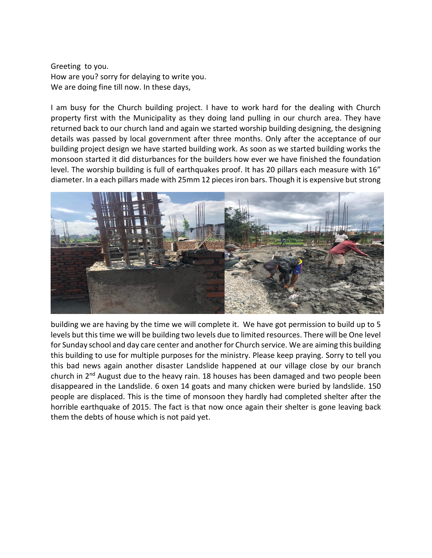Greeting to you. How are you? sorry for delaying to write you. We are doing fine till now. In these days,

I am busy for the Church building project. I have to work hard for the dealing with Church property first with the Municipality as they doing land pulling in our church area. They have returned back to our church land and again we started worship building designing, the designing details was passed by local government after three months. Only after the acceptance of our building project design we have started building work. As soon as we started building works the monsoon started it did disturbances for the builders how ever we have finished the foundation level. The worship building is full of earthquakes proof. It has 20 pillars each measure with 16" diameter. In a each pillars made with 25mm 12 pieces iron bars. Though it is expensive but strong



building we are having by the time we will complete it. We have got permission to build up to 5 levels but this time we will be building two levels due to limited resources. There will be One level for Sunday school and day care center and another for Church service. We are aiming this building this building to use for multiple purposes for the ministry. Please keep praying. Sorry to tell you this bad news again another disaster Landslide happened at our village close by our branch church in 2<sup>nd</sup> August due to the heavy rain. 18 houses has been damaged and two people been disappeared in the Landslide. 6 oxen 14 goats and many chicken were buried by landslide. 150 people are displaced. This is the time of monsoon they hardly had completed shelter after the horrible earthquake of 2015. The fact is that now once again their shelter is gone leaving back them the debts of house which is not paid yet.